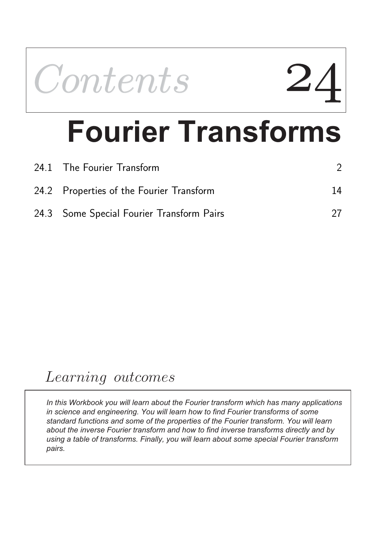

# **Fourier Transforms**

| 24.1 The Fourier Transform                |    |
|-------------------------------------------|----|
| 24.2 Properties of the Fourier Transform  | 14 |
| 24.3 Some Special Fourier Transform Pairs |    |

# Learning outcomes

*In this Workbook you will learn about the Fourier transform which has many applications in science and engineering. You will learn how to find Fourier transforms of some standard functions and some of the properties of the Fourier transform. You will learn about the inverse Fourier transform and how to find inverse transforms directly and by using a table of transforms. Finally, you will learn about some special Fourier transform pairs.*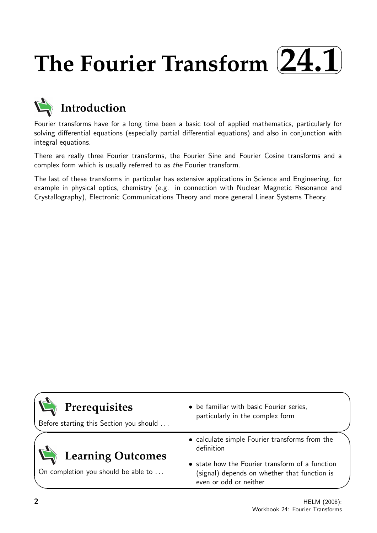#### **The Fourier Transform**  $\sqrt{2}$ ✒ **24.1**✑ ✏



## **Introduction**

Fourier transforms have for a long time been a basic tool of applied mathematics, particularly for solving differential equations (especially partial differential equations) and also in conjunction with integral equations.

There are really three Fourier transforms, the Fourier Sine and Fourier Cosine transforms and a complex form which is usually referred to as the Fourier transform.

The last of these transforms in particular has extensive applications in Science and Engineering, for example in physical optics, chemistry (e.g. in connection with Nuclear Magnetic Resonance and Crystallography), Electronic Communications Theory and more general Linear Systems Theory.

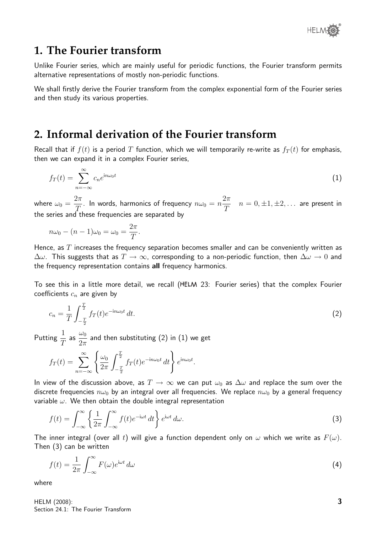

## **1. The Fourier transform**

Unlike Fourier series, which are mainly useful for periodic functions, the Fourier transform permits alternative representations of mostly non-periodic functions.

We shall firstly derive the Fourier transform from the complex exponential form of the Fourier series and then study its various properties.

### **2. Informal derivation of the Fourier transform**

Recall that if  $f(t)$  is a period T function, which we will temporarily re-write as  $f_T(t)$  for emphasis, then we can expand it in a complex Fourier series,

$$
f_T(t) = \sum_{n = -\infty}^{\infty} c_n e^{in\omega_0 t}
$$
 (1)

where  $\omega_0 =$  $2\pi$  $\frac{2\pi}{T}$ . In words, harmonics of frequency  $n\omega_0 = n$  $2\pi$ T  $n = 0, \pm 1, \pm 2, \ldots$  are present in the series and these frequencies are separated by

$$
n\omega_0 - (n-1)\omega_0 = \omega_0 = \frac{2\pi}{T}.
$$

Hence, as  $T$  increases the frequency separation becomes smaller and can be conveniently written as  $\Delta\omega$ . This suggests that as  $T \to \infty$ , corresponding to a non-periodic function, then  $\Delta\omega \to 0$  and the frequency representation contains all frequency harmonics.

To see this in a little more detail, we recall (HELM 23: Fourier series) that the complex Fourier coefficients  $c_n$  are given by

$$
c_n = \frac{1}{T} \int_{-\frac{T}{2}}^{\frac{T}{2}} f_T(t) e^{-in\omega_0 t} dt.
$$
 (2)

Putting  $\frac{1}{7}$ T as  $\frac{\omega_0}{\Omega}$  $2\pi$ and then substituting (2) in (1) we get

$$
f_T(t) = \sum_{n = -\infty}^{\infty} \left\{ \frac{\omega_0}{2\pi} \int_{-\frac{T}{2}}^{\frac{T}{2}} f_T(t) e^{-in\omega_0 t} dt \right\} e^{in\omega_0 t}.
$$

In view of the discussion above, as  $T \to \infty$  we can put  $\omega_0$  as  $\Delta \omega$  and replace the sum over the discrete frequencies  $n\omega_0$  by an integral over all frequencies. We replace  $n\omega_0$  by a general frequency variable  $\omega$ . We then obtain the double integral representation

$$
f(t) = \int_{-\infty}^{\infty} \left\{ \frac{1}{2\pi} \int_{-\infty}^{\infty} f(t) e^{-i\omega t} dt \right\} e^{i\omega t} d\omega.
$$
 (3)

The inner integral (over all t) will give a function dependent only on  $\omega$  which we write as  $F(\omega)$ . Then (3) can be written

$$
f(t) = \frac{1}{2\pi} \int_{-\infty}^{\infty} F(\omega) e^{i\omega t} d\omega \tag{4}
$$

where

HELM (2008): Section 24.1: The Fourier Transform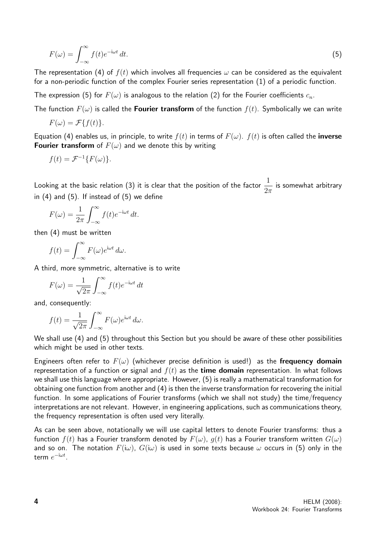$$
F(\omega) = \int_{-\infty}^{\infty} f(t)e^{-i\omega t} dt.
$$
\n(5)

The representation (4) of  $f(t)$  which involves all frequencies  $\omega$  can be considered as the equivalent for a non-periodic function of the complex Fourier series representation (1) of a periodic function.

The expression (5) for  $F(\omega)$  is analogous to the relation (2) for the Fourier coefficients  $c_n$ .

The function  $F(\omega)$  is called the **Fourier transform** of the function  $f(t)$ . Symbolically we can write

$$
F(\omega) = \mathcal{F}\{f(t)\}.
$$

Equation (4) enables us, in principle, to write  $f(t)$  in terms of  $F(\omega)$ .  $f(t)$  is often called the **inverse Fourier transform** of  $F(\omega)$  and we denote this by writing

$$
f(t) = \mathcal{F}^{-1}\{F(\omega)\}.
$$

Looking at the basic relation (3) it is clear that the position of the factor  $\frac{1}{2}$  $2\pi$ is somewhat arbitrary in  $(4)$  and  $(5)$ . If instead of  $(5)$  we define

$$
F(\omega) = \frac{1}{2\pi} \int_{-\infty}^{\infty} f(t)e^{-i\omega t} dt.
$$

then (4) must be written

$$
f(t) = \int_{-\infty}^{\infty} F(\omega) e^{i\omega t} d\omega.
$$

A third, more symmetric, alternative is to write

$$
F(\omega) = \frac{1}{\sqrt{2\pi}} \int_{-\infty}^{\infty} f(t)e^{-i\omega t} dt
$$

and, consequently:

$$
f(t) = \frac{1}{\sqrt{2\pi}} \int_{-\infty}^{\infty} F(\omega) e^{i\omega t} d\omega.
$$

We shall use (4) and (5) throughout this Section but you should be aware of these other possibilities which might be used in other texts.

Engineers often refer to  $F(\omega)$  (whichever precise definition is used!) as the frequency domain representation of a function or signal and  $f(t)$  as the **time domain** representation. In what follows we shall use this language where appropriate. However, (5) is really a mathematical transformation for obtaining one function from another and (4) is then the inverse transformation for recovering the initial function. In some applications of Fourier transforms (which we shall not study) the time/frequency interpretations are not relevant. However, in engineering applications, such as communications theory, the frequency representation is often used very literally.

As can be seen above, notationally we will use capital letters to denote Fourier transforms: thus a function  $f(t)$  has a Fourier transform denoted by  $F(\omega)$ ,  $g(t)$  has a Fourier transform written  $G(\omega)$ and so on. The notation  $F(i\omega)$ ,  $G(i\omega)$  is used in some texts because  $\omega$  occurs in (5) only in the term  $e^{-\mathrm{i}\omega t}$ .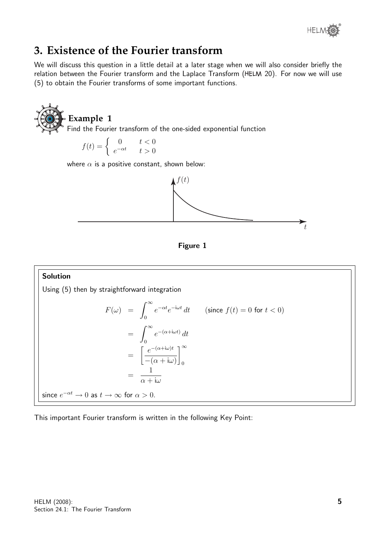

## **3. Existence of the Fourier transform**

We will discuss this question in a little detail at a later stage when we will also consider briefly the relation between the Fourier transform and the Laplace Transform (HELM 20). For now we will use (5) to obtain the Fourier transforms of some important functions.







#### Solution Using (5) then by straightforward integration  $F(\omega) = \int^{\infty}$ 0  $e^{-\alpha t}e^{-i\omega t} dt$  (since  $f(t) = 0$  for  $t < 0$ )  $=\int^{\infty}$  $\mathbf{0}$  $e^{-(\alpha+i\omega t)} dt$ =  $\int e^{-(\alpha+i\omega)t}$  $-(\alpha + i\omega)$  $\left.\right]$ <sup>∞</sup> 0 = 1  $\alpha + i\omega$ since  $e^{-\alpha t} \to 0$  as  $t \to \infty$  for  $\alpha > 0$ .

This important Fourier transform is written in the following Key Point: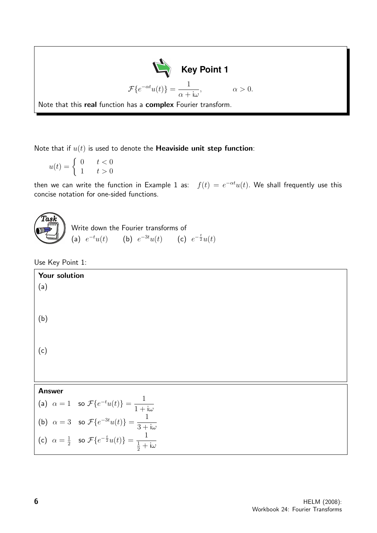

Note that if  $u(t)$  is used to denote the **Heaviside unit step function**:

$$
u(t) = \begin{cases} 0 & t < 0 \\ 1 & t > 0 \end{cases}
$$

then we can write the function in Example 1 as:  $f(t) = e^{-\alpha t}u(t)$ . We shall frequently use this concise notation for one-sided functions.



Use Key Point 1:

| Your solution<br>(a)                                                                                                                                                                                                                                                                          |  |  |  |  |
|-----------------------------------------------------------------------------------------------------------------------------------------------------------------------------------------------------------------------------------------------------------------------------------------------|--|--|--|--|
| (b)                                                                                                                                                                                                                                                                                           |  |  |  |  |
| (c)                                                                                                                                                                                                                                                                                           |  |  |  |  |
|                                                                                                                                                                                                                                                                                               |  |  |  |  |
| <b>Answer</b>                                                                                                                                                                                                                                                                                 |  |  |  |  |
|                                                                                                                                                                                                                                                                                               |  |  |  |  |
|                                                                                                                                                                                                                                                                                               |  |  |  |  |
| (a) $\alpha = 1$ so $\mathcal{F}\lbrace e^{-t}u(t)\rbrace = \frac{1}{1 + i\omega}$<br>(b) $\alpha = 3$ so $\mathcal{F}\lbrace e^{-3t}u(t)\rbrace = \frac{1}{3 + i\omega}$<br>(c) $\alpha = \frac{1}{2}$ so $\mathcal{F}\lbrace e^{-\frac{t}{2}}u(t)\rbrace = \frac{1}{\frac{1}{2} + i\omega}$ |  |  |  |  |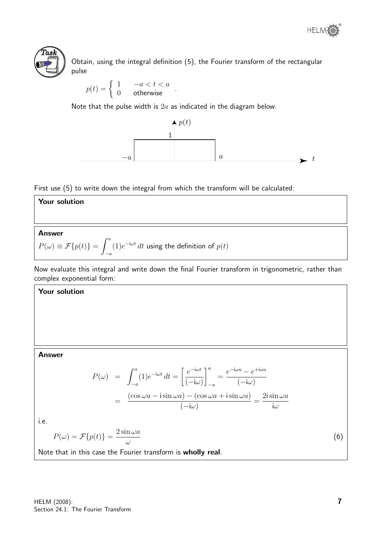



Obtain, using the integral definition (5), the Fourier transform of the rectangular pulse

$$
p(t) = \begin{cases} 1 & -a < t < a \\ 0 & \text{otherwise} \end{cases}
$$

Note that the pulse width is  $2a$  as indicated in the diagram below.



First use (5) to write down the integral from which the transform will be calculated:



Now evaluate this integral and write down the final Fourier transform in trigonometric, rather than complex exponential form:

#### Your solution

#### Answer

$$
P(\omega) = \int_{-a}^{a} (1)e^{-i\omega t} dt = \left[\frac{e^{-i\omega t}}{(-i\omega)}\right]_{-a}^{a} = \frac{e^{-i\omega a} - e^{+i\omega a}}{(-i\omega)}
$$

$$
= \frac{(\cos \omega a - i\sin \omega a) - (\cos \omega a + i\sin \omega a)}{(-i\omega)} = \frac{2i\sin \omega a}{i\omega}
$$

i.e.

$$
P(\omega) = \mathcal{F}\{p(t)\} = \frac{2\sin \omega a}{\omega}
$$

Note that in this case the Fourier transform is wholly real.

(6)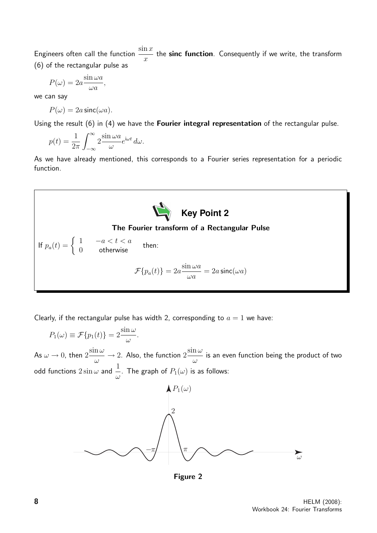Engineers often call the function  $\frac{\sin x}{x}$  $\overline{x}$ the sinc function. Consequently if we write, the transform (6) of the rectangular pulse as

$$
P(\omega) = 2a \frac{\sin \omega a}{\omega a},
$$

we can say

$$
P(\omega) = 2a \operatorname{sinc}(\omega a).
$$

Using the result (6) in (4) we have the Fourier integral representation of the rectangular pulse.

$$
p(t) = \frac{1}{2\pi} \int_{-\infty}^{\infty} 2 \frac{\sin \omega a}{\omega} e^{i\omega t} d\omega.
$$

As we have already mentioned, this corresponds to a Fourier series representation for a periodic function.



Clearly, if the rectangular pulse has width 2, corresponding to  $a = 1$  we have:

 $P_1(\omega) \equiv \mathcal{F}\{p_1(t)\} = 2 \frac{\sin \omega}{\omega}$ ω . As  $\omega \rightarrow 0$ , then  $2\frac{\sin \omega}{\omega}$ ω  $\rightarrow$  2. Also, the function  $2\frac{\sin\omega}{\omega}$ ω is an even function being the product of two odd functions  $2 \sin \omega$  and  $\frac{1}{2}$  $\stackrel{\scriptscriptstyle +}{\omega}$ . The graph of  $P_1(\omega)$  is as follows:



Figure 2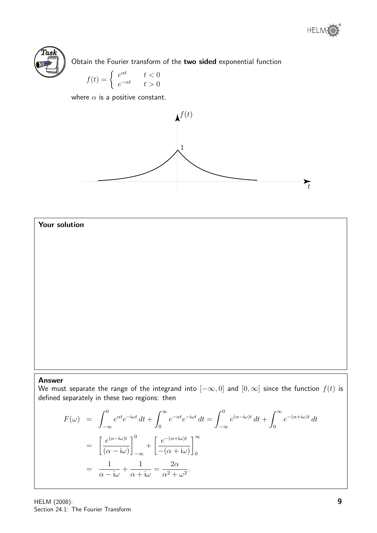



Obtain the Fourier transform of the two sided exponential function

$$
f(t) = \begin{cases} e^{\alpha t} & t < 0\\ e^{-\alpha t} & t > 0 \end{cases}
$$

where  $\alpha$  is a positive constant.





#### Answer

We must separate the range of the integrand into  $[-\infty, 0]$  and  $[0, \infty]$  since the function  $f(t)$  is defined separately in these two regions: then

$$
F(\omega) = \int_{-\infty}^{0} e^{\alpha t} e^{-i\omega t} dt + \int_{0}^{\infty} e^{-\alpha t} e^{-i\omega t} dt = \int_{-\infty}^{0} e^{(\alpha - i\omega)t} dt + \int_{0}^{\infty} e^{-(\alpha + i\omega)t} dt
$$

$$
= \left[ \frac{e^{(\alpha - i\omega)t}}{(\alpha - i\omega)} \right]_{-\infty}^{0} + \left[ \frac{e^{-(\alpha + i\omega)t}}{-(\alpha + i\omega)} \right]_{0}^{\infty}
$$

$$
= \frac{1}{\alpha - i\omega} + \frac{1}{\alpha + i\omega} = \frac{2\alpha}{\alpha^2 + \omega^2}.
$$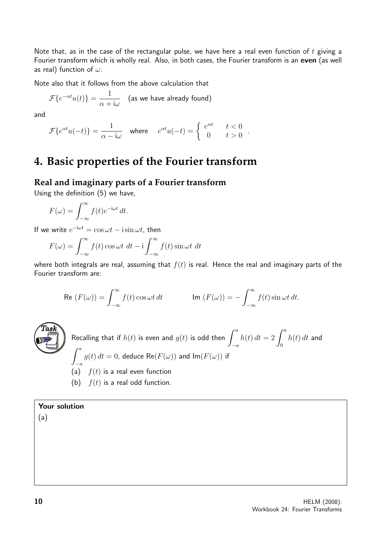Note that, as in the case of the rectangular pulse, we have here a real even function of  $t$  giving a Fourier transform which is wholly real. Also, in both cases, the Fourier transform is an even (as well as real) function of  $\omega$ .

.

Note also that it follows from the above calculation that

$$
\mathcal{F}\lbrace e^{-\alpha t}u(t)\rbrace = \frac{1}{\alpha + \mathrm{i}\omega} \quad \text{(as we have already found)}
$$

and

$$
\mathcal{F}\{e^{\alpha t}u(-t)\} = \frac{1}{\alpha - i\omega} \quad \text{where} \quad e^{\alpha t}u(-t) = \begin{cases} e^{\alpha t} & t < 0 \\ 0 & t > 0 \end{cases}
$$

## **4. Basic properties of the Fourier transform**

#### **Real and imaginary parts of a Fourier transform**

Using the definition (5) we have,

$$
F(\omega) = \int_{-\infty}^{\infty} f(t)e^{-i\omega t} dt.
$$

If we write  $e^{-i\omega t} = \cos \omega t - i \sin \omega t$ , then

$$
F(\omega) = \int_{-\infty}^{\infty} f(t) \cos \omega t \, dt - i \int_{-\infty}^{\infty} f(t) \sin \omega t \, dt
$$

where both integrals are real, assuming that  $f(t)$  is real. Hence the real and imaginary parts of the Fourier transform are:

$$
\text{Re}\,\left(F(\omega)\right) = \int_{-\infty}^{\infty} f(t) \cos \omega t \, dt \qquad \qquad \text{Im}\,\left(F(\omega)\right) = -\int_{-\infty}^{\infty} f(t) \sin \omega t \, dt.
$$



Recalling that if 
$$
h(t)
$$
 is even and  $g(t)$  is odd then  $\int_{-a}^{a} h(t) dt = 2 \int_{0}^{a} h(t) dt$  and  $\int_{-a}^{a} g(t) dt = 0$ , deduce Re $(F(\omega))$  and Im $(F(\omega))$  if  
\n(a)  $f(t)$  is a real even function  
\n(b)  $f(t)$  is a real odd function.

#### Your solution

(a)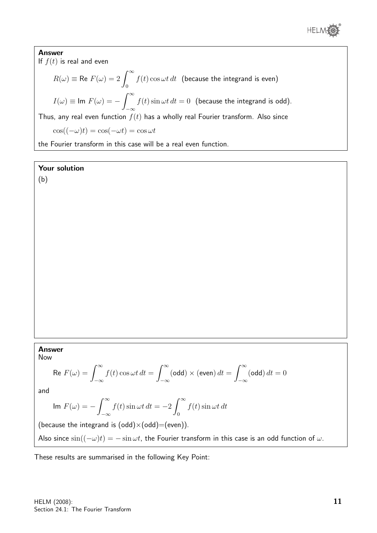

Answer If  $f(t)$  is real and even  $R(\omega) \equiv \mathsf{Re}\; F(\omega) = 2 \, \int^\infty$ 0  $f(t) \cos \omega t \, dt$  (because the integrand is even)  $I(\omega) \equiv \textsf{Im}\; F(\omega) = -\int^{\infty}$  $-\infty$  $f(t) \sin \omega t \, dt = 0$  (because the integrand is odd). Thus, any real even function  $f(t)$  has a wholly real Fourier transform. Also since  $\cos((-\omega)t) = \cos(-\omega t) = \cos \omega t$ the Fourier transform in this case will be a real even function.

#### Your solution

(b)

#### Answer

Now

$$
\text{Re } F(\omega) = \int_{-\infty}^{\infty} f(t) \cos \omega t \, dt = \int_{-\infty}^{\infty} (\text{odd}) \times (\text{even}) \, dt = \int_{-\infty}^{\infty} (\text{odd}) \, dt = 0
$$

and

$$
\text{Im } F(\omega) = -\int_{-\infty}^{\infty} f(t) \sin \omega t \, dt = -2 \int_{0}^{\infty} f(t) \sin \omega t \, dt
$$

(because the integrand is  $(odd)\times(odd)=(even)).$ 

Also since  $\sin((-\omega)t) = -\sin \omega t$ , the Fourier transform in this case is an odd function of  $\omega$ .

These results are summarised in the following Key Point: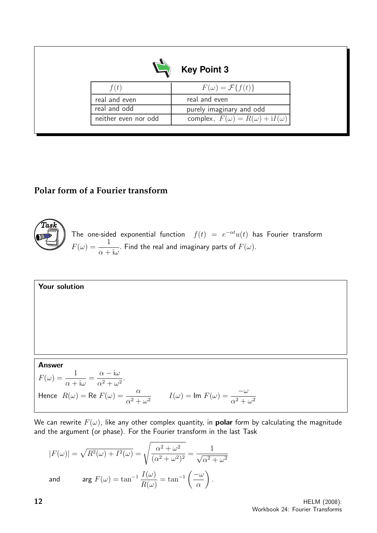| <b>Key Point 3</b>   |                                               |  |  |  |
|----------------------|-----------------------------------------------|--|--|--|
| $\cdot$ ( $t$ )      | $F(\omega) = \mathcal{F}{f(t)}$               |  |  |  |
| real and even        | real and even                                 |  |  |  |
| real and odd         | purely imaginary and odd                      |  |  |  |
| neither even nor odd | complex, $F(\omega) = R(\omega) + iI(\omega)$ |  |  |  |
|                      |                                               |  |  |  |

#### **Polar form of a Fourier transform**



The one-sided exponential function  $f(t) = e^{-\alpha t}u(t)$  has Fourier transform  $F(\omega) = \frac{1}{\sqrt{2\pi}}$  $\alpha$  + iω . Find the real and imaginary parts of  $F(\omega).$ 

Your solution

#### Answer

 $F(\omega) = \frac{1}{\sqrt{2\pi}}$  $\alpha + i\omega$ =  $\alpha$  – iω  $\frac{\alpha}{\alpha^2 + \omega^2}$ . Hence  $R(\omega) = \text{Re } F(\omega) = \frac{\alpha}{2\pi\epsilon}$  $\alpha^2 + \omega^2$  $I(\omega) = \text{Im } F(\omega) = \frac{-\omega}{2\pi}$  $\alpha^2 + \omega^2$ 

We can rewrite  $F(\omega)$ , like any other complex quantity, in **polar** form by calculating the magnitude and the argument (or phase). For the Fourier transform in the last Task

$$
|F(\omega)| = \sqrt{R^2(\omega) + I^2(\omega)} = \sqrt{\frac{\alpha^2 + \omega^2}{(\alpha^2 + \omega^2)^2}} = \frac{1}{\sqrt{\alpha^2 + \omega^2}}
$$
  
and 
$$
\arg F(\omega) = \tan^{-1} \frac{I(\omega)}{R(\omega)} = \tan^{-1} \left(\frac{-\omega}{\alpha}\right).
$$

12 **HELM** (2008): Workbook 24: Fourier Transforms